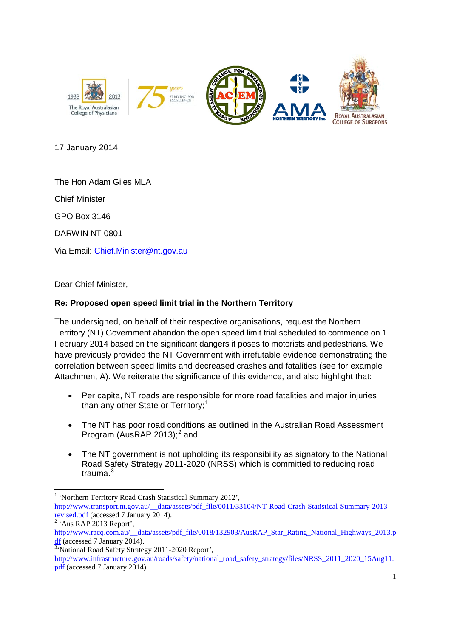

17 January 2014

The Hon Adam Giles MLA

Chief Minister

GPO Box 3146

DARWIN NT 0801

Via Email: [Chief.Minister@nt.gov.au](mailto:Chief.Minister@nt.gov.au)

Dear Chief Minister,

## **Re: Proposed open speed limit trial in the Northern Territory**

The undersigned, on behalf of their respective organisations, request the Northern Territory (NT) Government abandon the open speed limit trial scheduled to commence on 1 February 2014 based on the significant dangers it poses to motorists and pedestrians. We have previously provided the NT Government with irrefutable evidence demonstrating the correlation between speed limits and decreased crashes and fatalities (see for example Attachment A). We reiterate the significance of this evidence, and also highlight that:

- Per capita, NT roads are responsible for more road fatalities and major injuries than any other State or Territory;<sup>[1](#page-0-0)</sup>
- The NT has poor road conditions as outlined in the Australian Road Assessment Program (AusRAP [2](#page-0-1)013); $^2$  and
- The NT government is not upholding its responsibility as signatory to the National Road Safety Strategy 2011-2020 (NRSS) which is committed to reducing road trauma. [3](#page-0-2)

<sup>&</sup>lt;sup>1</sup> 'Northern Territory Road Crash Statistical Summary 2012',

<span id="page-0-1"></span><span id="page-0-0"></span>[http://www.transport.nt.gov.au/\\_\\_data/assets/pdf\\_file/0011/33104/NT-Road-Crash-Statistical-Summary-2013](http://www.transport.nt.gov.au/__data/assets/pdf_file/0011/33104/NT-Road-Crash-Statistical-Summary-2013-revised.pdf) [revised.pdf](http://www.transport.nt.gov.au/__data/assets/pdf_file/0011/33104/NT-Road-Crash-Statistical-Summary-2013-revised.pdf) (accessed 7 January 2014).<br><sup>2</sup> 'Aus RAP 2013 Report',

[http://www.racq.com.au/\\_\\_data/assets/pdf\\_file/0018/132903/AusRAP\\_Star\\_Rating\\_National\\_Highways\\_2013.p](http://www.racq.com.au/__data/assets/pdf_file/0018/132903/AusRAP_Star_Rating_National_Highways_2013.pdf) [df](http://www.racq.com.au/__data/assets/pdf_file/0018/132903/AusRAP_Star_Rating_National_Highways_2013.pdf) (accessed 7 January 2014).<br><sup>3</sup> National Road Safety Strategy 2011-2020 Report',

<span id="page-0-2"></span>

[http://www.infrastructure.gov.au/roads/safety/national\\_road\\_safety\\_strategy/files/NRSS\\_2011\\_2020\\_15Aug11.](http://www.infrastructure.gov.au/roads/safety/national_road_safety_strategy/files/NRSS_2011_2020_15Aug11.pdf) [pdf](http://www.infrastructure.gov.au/roads/safety/national_road_safety_strategy/files/NRSS_2011_2020_15Aug11.pdf) (accessed 7 January 2014).